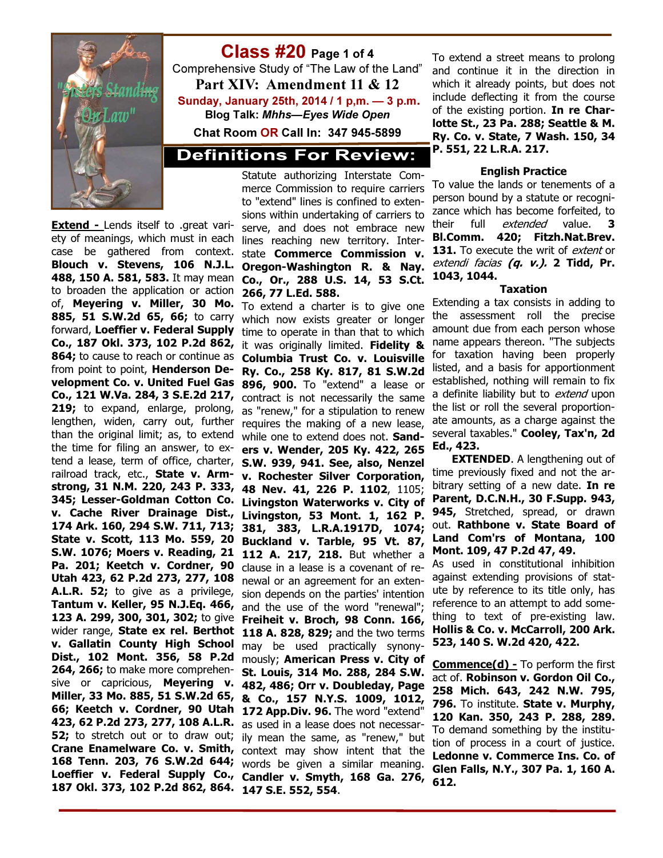

## Class #20 Page 1 of 4

Comprehensive Study of "The Law of the Land" Part XIV: Amendment 11 & 12 Sunday, January 25th, 2014 / 1 p,m. — 3 p.m. Blog Talk: Mhhs—Eyes Wide Open

Chat Room OR Call In: 347 945-5899

### **Definitions For Review:**

Extend - Lends itself to .great variety of meanings, which must in each case be gathered from context. Blouch v. Stevens, 106 N.J.L. 488, 150 A. 581, 583. It may mean to broaden the application or action of, **Meyering v. Miller, 30 Mo.** To extend a charter is to give one 885, 51 S.W.2d 65, 66; to carry which now exists greater or longer forward, Loeffier v. Federal Supply Co., 187 Okl. 373, 102 P.2d 862, 864; to cause to reach or continue as **Columbia Trust Co. v. Louisville** from point to point, Henderson Development Co. v. United Fuel Gas 896, 900. To "extend" a lease or Co., 121 W.Va. 284, 3 S.E.2d 217, contract is not necessarily the same 219: to expand, enlarge, prolong, lengthen, widen, carry out, further than the original limit; as, to extend the time for filing an answer, to extend a lease, term of office, charter, **S.W. 939, 941. See, also, Nenzel** railroad track, etc., State v. Armstrong, 31 N.M. 220, 243 P. 333, 345; Lesser-Goldman Cotton Co. v. Cache River Drainage Dist., 174 Ark. 160, 294 S.W. 711, 713; State v. Scott, 113 Mo. 559, 20 S.W. 1076; Moers v. Reading, 21 Pa. 201; Keetch v. Cordner, 90 Utah 423, 62 P.2d 273, 277, 108 A.L.R. 52; to give as a privilege, Tantum v. Keller, 95 N.J.Eq. 466, 123 A. 299, 300, 301, 302; to give wider range, State ex rel. Berthot v. Gallatin County High School Dist., 102 Mont. 356, 58 P.2d 264, 266; to make more comprehensive or capricious, **Meyering v.** Miller, 33 Mo. 885, 51 S.W.2d 65, 66; Keetch v. Cordner, 90 Utah 423, 62 P.2d 273, 277, 108 A.L.R. as used in a lease does not necessar-**52;** to stretch out or to draw out; ily mean the same, as "renew," but Crane Enamelware Co. v. Smith, context may show intent that the 168 Tenn. 203, 76 S.W.2d 644; words be given a similar meaning. Loeffier v. Federal Supply Co., Candler v. Smyth, 168 Ga. 276,

Statute authorizing Interstate Commerce Commission to require carriers to "extend" lines is confined to extensions within undertaking of carriers to serve, and does not embrace new lines reaching new territory. Interstate Commerce Commission v. Oregon-Washington R. & Nay. Co., Or., 288 U.S. 14, 53 S.Ct. 266, 77 L.Ed. 588.

187 Okl. 373, 102 P.2d 862, 864. 147 S.E. 552, 554. time to operate in than that to which it was originally limited. Fidelity & Ry. Co., 258 Ky. 817, 81 S.W.2d as "renew," for a stipulation to renew requires the making of a new lease, while one to extend does not. **Sand**ers v. Wender, 205 Ky. 422, 265 v. Rochester Silver Corporation, 48 Nev. 41, 226 P. 1102, 1105; Livingston Waterworks v. City of Livingston, 53 Mont. 1, 162 P. 381, 383, L.R.A.1917D, 1074; Buckland v. Tarble, 95 Vt. 87, 112 A. 217, 218. But whether a clause in a lease is a covenant of renewal or an agreement for an extension depends on the parties' intention and the use of the word "renewal"; Freiheit v. Broch, 98 Conn. 166, 118 A. 828, 829; and the two terms may be used practically synonymously; American Press v. City of St. Louis, 314 Mo. 288, 284 S.W. 482, 486; Orr v. Doubleday, Page & Co., 157 N.Y.S. 1009, 1012, 172 App. Div. 96. The word "extend"

To extend a street means to prolong and continue it in the direction in which it already points, but does not include deflecting it from the course of the existing portion. In re Charlotte St., 23 Pa. 288; Seattle & M. Ry. Co. v. State, 7 Wash. 150, 34 P. 551, 22 L.R.A. 217.

#### English Practice

To value the lands or tenements of a person bound by a statute or recognizance which has become forfeited, to their full *extended* value. 3 Bl.Comm. 420; Fitzh.Nat.Brev. 131. To execute the writ of extent or extendi facias (q. v.). 2 Tidd, Pr. 1043, 1044.

#### Taxation

Extending a tax consists in adding to the assessment roll the precise amount due from each person whose name appears thereon. "The subjects for taxation having been properly listed, and a basis for apportionment established, nothing will remain to fix a definite liability but to extend upon the list or roll the several proportionate amounts, as a charge against the several taxables." Cooley, Tax'n, 2d Ed., 423.

**EXTENDED.** A lengthening out of time previously fixed and not the arbitrary setting of a new date. **In re** Parent, D.C.N.H., 30 F.Supp. 943, 945, Stretched, spread, or drawn out. Rathbone v. State Board of Land Com'rs of Montana, 100 Mont. 109, 47 P.2d 47, 49.

As used in constitutional inhibition against extending provisions of statute by reference to its title only, has reference to an attempt to add something to text of pre-existing law. Hollis & Co. v. McCarroll, 200 Ark. 523, 140 S. W.2d 420, 422.

**Commence(d)** - To perform the first act of. Robinson v. Gordon Oil Co., 258 Mich. 643, 242 N.W. 795, 796. To institute. State v. Murphy, 120 Kan. 350, 243 P. 288, 289. To demand something by the institution of process in a court of justice. Ledonne v. Commerce Ins. Co. of Glen Falls, N.Y., 307 Pa. 1, 160 A. 612.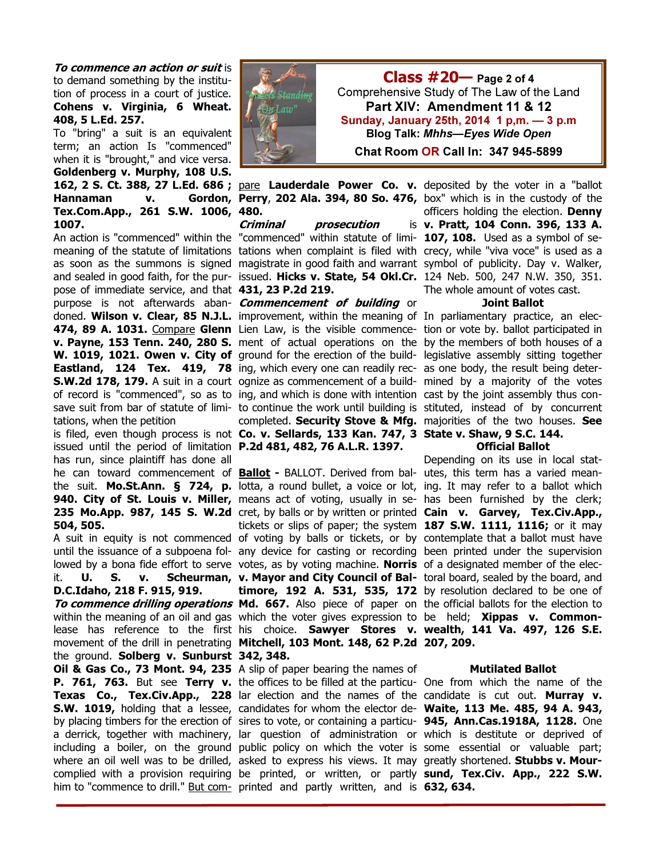**To commence an action or suit is** to demand something by the institution of process in a court of justice. Cohens v. Virginia, 6 Wheat. 408, 5 L.Ed. 257.

To "bring" a suit is an equivalent term; an action Is "commenced" when it is "brought," and vice versa. Goldenberg v. Murphy, 108 U.S. Hannaman v. Tex.Com.App., 261 S.W. 1006, 480. 1007.

pose of immediate service, and that 431, 23 P.2d 219. purpose is not afterwards aban- *Commencement of building* or doned. Wilson v. Clear, 85 N.J.L. improvement, within the meaning of In parliamentary practice, an elec-474, 89 A. 1031. Compare Glenn Lien Law, is the visible commence- tion or vote by. ballot participated in v. Payne, 153 Tenn. 240, 280 S. ment of actual operations on the by the members of both houses of a W. 1019, 1021. Owen v. City of ground for the erection of the build- legislative assembly sitting together **Eastland, 124 Tex. 419, 78** ing, which every one can readily rec- as one body, the result being deter-**S.W.2d 178, 179.** A suit in a court ognize as commencement of a build- mined by a majority of the votes of record is "commenced", so as to ing, and which is done with intention cast by the joint assembly thus consave suit from bar of statute of limi- to continue the work until building is stituted, instead of by concurrent tations, when the petition

issued until the period of limitation P.2d 481, 482, 76 A.L.R. 1397. has run, since plaintiff has done all 504, 505.

D.C.Idaho, 218 F. 915, 919.

the ground. **Solberg v. Sunburst 342, 348.** Oil & Gas Co., 73 Mont. 94, 235 A slip of paper bearing the names of **P. 761, 763.** But see **Terry v.** the offices to be filled at the particu- One from which the name of the Texas Co., Tex.Civ.App., 228 lar election and the names of the candidate is cut out. Murray v. S.W. 1019, holding that a lessee, candidates for whom the elector de- Waite, 113 Me. 485, 94 A. 943, by placing timbers for the erection of sires to vote, or containing a particu- **945, Ann.Cas.1918A, 1128.** One a derrick, together with machinery, lar question of administration or which is destitute or deprived of including a boiler, on the ground public policy on which the voter is some essential or valuable part; where an oil well was to be drilled, asked to express his views. It may greatly shortened. **Stubbs v. Mour**complied with a provision requiring be printed, or written, or partly sund, Tex.Civ. App., 222 S.W.



An action is "commenced" within the "commenced" within statute of limi- 107, 108. Used as a symbol of se-Criminal prosecution

is filed, even though process is not Co. v. Sellards, 133 Kan. 747, 3 State v. Shaw, 9 S.C. 144. completed. Security Stove & Mfg. majorities of the two houses. See

he can toward commencement of **Ballot** - BALLOT. Derived from bal- utes, this term has a varied meanthe suit. **Mo.St.Ann. § 724, p.** lotta, a round bullet, a voice or lot, ing. It may refer to a ballot which **940. City of St. Louis v. Miller,** means act of voting, usually in se- has been furnished by the clerk; 235 Mo.App. 987, 145 S. W.2d cret, by balls or by written or printed Cain v. Garvey, Tex.Civ.App., A suit in equity is not commenced of voting by balls or tickets, or by contemplate that a ballot must have until the issuance of a subpoena fol- any device for casting or recording been printed under the supervision lowed by a bona fide effort to serve votes, as by voting machine. **Norris** of a designated member of the elecit. **U. S. v. Scheurman, v. Mayor and City Council of Bal-** toral board, sealed by the board, and To commence drilling operations Md. 667. Also piece of paper on the official ballots for the election to within the meaning of an oil and gas which the voter gives expression to be held; **Xippas v. Common**lease has reference to the first his choice. **Sawyer Stores v. wealth, 141 Va. 497, 126 S.E.** movement of the drill in penetrating Mitchell, 103 Mont. 148, 62 P.2d 207, 209. tickets or slips of paper; the system  $187$  S.W.  $1111$ ,  $1116$ ; or it may **timore, 192 A. 531, 535, 172** by resolution declared to be one of

him to "commence to drill." **But com-** printed and partly written, and is **632, 634.** 

162, 2 S. Ct. 388, 27 L.Ed. 686 ; pare Lauderdale Power Co. v. deposited by the voter in a "ballot meaning of the statute of limitations tations when complaint is filed with crecy, while "viva voce" is used as a as soon as the summons is signed magistrate in good faith and warrant symbol of publicity. Day v. Walker, and sealed in good faith, for the pur- issued. Hicks v. State, 54 Okl.Cr. 124 Neb. 500, 247 N.W. 350, 351. **Perry, 202 Ala. 394, 80 So. 476,** box" which is in the custody of the officers holding the election. Denny v. Pratt, 104 Conn. 396, 133 A. The whole amount of votes cast.

#### Joint Ballot

#### Official Ballot

Depending on its use in local stat-

#### Mutilated Ballot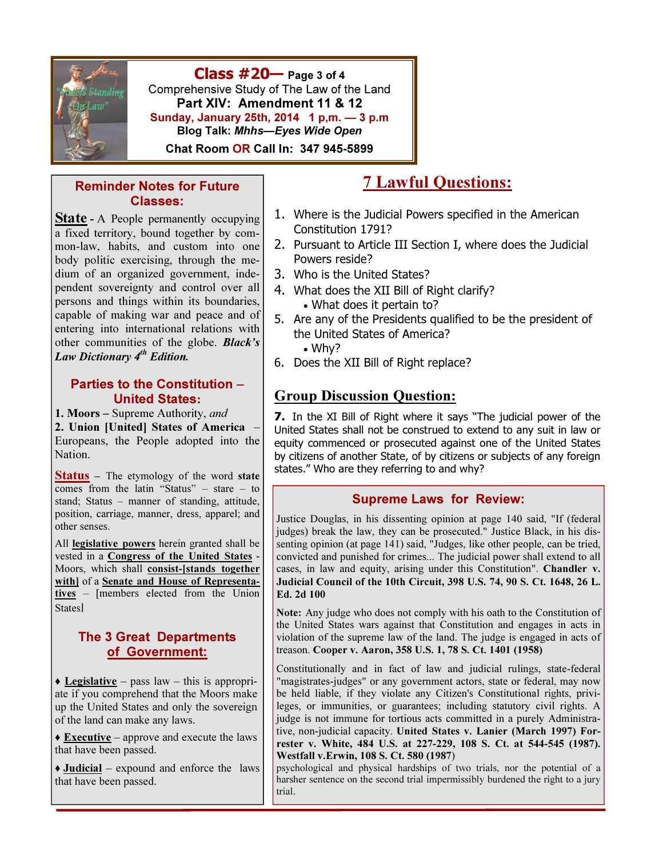

 $Class #20$  Page 3 of 4 Comprehensive Study of The Law of the Land Part XIV: Amendment 11 & 12 Sunday, January 25th, 2014 1 p,m. — 3 p.m Blog Talk: Mhhs—Eyes Wide Open

Chat Room OR Call In: 347 945-5899

#### Reminder Notes for Future Classes:

**State** - A People permanently occupying a fixed territory, bound together by common-law, habits, and custom into one body politic exercising, through the medium of an organized government, independent sovereignty and control over all persons and things within its boundaries, capable of making war and peace and of entering into international relations with other communities of the globe. Black's Law Dictionary  $4^{th}$  Edition.

#### Parties to the Constitution – United States:

1. Moors – Supreme Authority, and 2. Union [United] States of America – Europeans, the People adopted into the Nation.

**Status** – The etymology of the word state comes from the latin "Status" – stare – to stand; Status – manner of standing, attitude, position, carriage, manner, dress, apparel; and other senses.

All **legislative powers** herein granted shall be vested in a Congress of the United States - Moors, which shall consist-[stands together with] of a Senate and House of Representatives – [members elected from the Union **States**<sup>1</sup>

### The 3 Great Departments of Government:

 $\triangle$  Legislative – pass law – this is appropriate if you comprehend that the Moors make up the United States and only the sovereign of the land can make any laws.

 $\triangle$  **Executive** – approve and execute the laws that have been passed.

♦ Judicial – expound and enforce the laws that have been passed.

# 7 Lawful Questions:

- 1. Where is the Judicial Powers specified in the American Constitution 1791?
- 2. Pursuant to Article III Section I, where does the Judicial Powers reside?
- 3. Who is the United States?
- 4. What does the XII Bill of Right clarify? • What does it pertain to?
- 5. Are any of the Presidents qualified to be the president of the United States of America?
	- Why?
- 6. Does the XII Bill of Right replace?

# Group Discussion Question:

7. In the XI Bill of Right where it says "The judicial power of the United States shall not be construed to extend to any suit in law or equity commenced or prosecuted against one of the United States by citizens of another State, of by citizens or subjects of any foreign states." Who are they referring to and why?

#### Supreme Laws for Review:

Justice Douglas, in his dissenting opinion at page 140 said, "If (federal judges) break the law, they can be prosecuted." Justice Black, in his dissenting opinion (at page 141) said, "Judges, like other people, can be tried, convicted and punished for crimes... The judicial power shall extend to all cases, in law and equity, arising under this Constitution". Chandler v. Judicial Council of the 10th Circuit, 398 U.S. 74, 90 S. Ct. 1648, 26 L. Ed. 2d 100

Note: Any judge who does not comply with his oath to the Constitution of the United States wars against that Constitution and engages in acts in violation of the supreme law of the land. The judge is engaged in acts of treason. Cooper v. Aaron, 358 U.S. 1, 78 S. Ct. 1401 (1958)

Constitutionally and in fact of law and judicial rulings, state-federal "magistrates-judges" or any government actors, state or federal, may now be held liable, if they violate any Citizen's Constitutional rights, privileges, or immunities, or guarantees; including statutory civil rights. A judge is not immune for tortious acts committed in a purely Administrative, non-judicial capacity. United States v. Lanier (March 1997) Forrester v. White, 484 U.S. at 227-229, 108 S. Ct. at 544-545 (1987). Westfall v.Erwin, 108 S. Ct. 580 (1987)

psychological and physical hardships of two trials, nor the potential of a harsher sentence on the second trial impermissibly burdened the right to a jury trial.